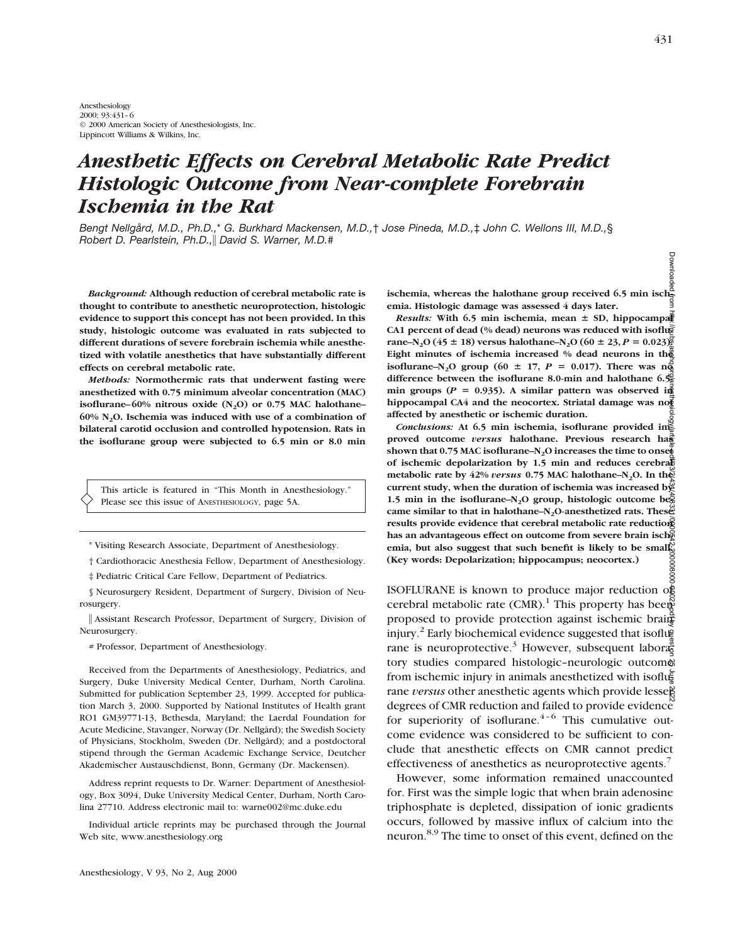# *Anesthetic Effects on Cerebral Metabolic Rate Predict Histologic Outcome from Near-complete Forebrain Ischemia in the Rat*

*Bengt Nellgård, M.D., Ph.D.,*\* *G. Burkhard Mackensen, M.D.,*† *Jose Pineda, M.D.,*‡ *John C. Wellons III, M.D.,*§ *Robert D. Pearlstein, Ph.D.,*i *David S. Warner, M.D.#*

*Background:* **Although reduction of cerebral metabolic rate is thought to contribute to anesthetic neuroprotection, histologic evidence to support this concept has not been provided. In this study, histologic outcome was evaluated in rats subjected to different durations of severe forebrain ischemia while anesthetized with volatile anesthetics that have substantially different effects on cerebral metabolic rate.**

*Methods:* **Normothermic rats that underwent fasting were anesthetized with 0.75 minimum alveolar concentration (MAC) isoflurane–60% nitrous oxide (N<sub>2</sub>O) or 0.75 MAC halothane– 60% N2O. Ischemia was induced with use of a combination of bilateral carotid occlusion and controlled hypotension. Rats in the isoflurane group were subjected to 6.5 min or 8.0 min**

This article is featured in "This Month in Anesthesiology." Please see this issue of ANESTHESIOLOGY, page 5A.

\* Visiting Research Associate, Department of Anesthesiology.

† Cardiothoracic Anesthesia Fellow, Department of Anesthesiology.

‡ Pediatric Critical Care Fellow, Department of Pediatrics.

§ Neurosurgery Resident, Department of Surgery, Division of Neurosurgery.

i Assistant Research Professor, Department of Surgery, Division of Neurosurgery.

# Professor, Department of Anesthesiology.

Received from the Departments of Anesthesiology, Pediatrics, and Surgery, Duke University Medical Center, Durham, North Carolina. Submitted for publication September 23, 1999. Accepted for publication March 3, 2000. Supported by National Institutes of Health grant RO1 GM39771-13, Bethesda, Maryland; the Laerdal Foundation for Acute Medicine, Stavanger, Norway (Dr. Nellgård); the Swedish Society of Physicians, Stockholm, Sweden (Dr. Nellgård); and a postdoctoral stipend through the German Academic Exchange Service, Deutcher Akademischer Austauschdienst, Bonn, Germany (Dr. Mackensen).

Address reprint requests to Dr. Warner: Department of Anesthesiology, Box 3094, Duke University Medical Center, Durham, North Carolina 27710. Address electronic mail to: warne002@mc.duke.edu

Individual article reprints may be purchased through the Journal Web site, www.anesthesiology.org

**ischemia, whereas the halothane group received 6.5 min isch-**<br>
a a dischemia, whereas the halothane group received 6.5 min isch**emia. Histologic damage was assessed 4 days later.**

*Results:* With 6.5 min ischemia, mean  $\pm$  SD, hippocampallent CA1 percent of dead (% dead) neurons was reduced with isoflue rane–N<sub>2</sub>O (45  $\pm$  18) versus halothane–N<sub>2</sub>O (60  $\pm$  23, *P* = 0.023). **Eight minutes of ischemia increased % dead neurons in the isoflurane–N<sub>2</sub>O group (60**  $\pm$  **17,** *P* **= 0.017). There was no**<sup> $\frac{5}{9}$ </sup> **difference between the isoflurane 8.0-min and halothane 6.5** min groups ( $P = 0.935$ ). A similar pattern was observed in **hippocampal CA4 and the neocortex. Striatal damage was not affected by anesthetic or ischemic duration.**

*Conclusions:* **At 6.5 min ischemia, isoflurane provided improved outcome** *versus* **halothane. Previous research has** shown that 0.75 MAC isoflurane–N<sub>2</sub>O increases the time to onset **of ischemic depolarization by 1.5 min and reduces cerebral metabolic rate by 42%** *versus* **0.75 MAC halothane–N<sub>2</sub>O. In the current study, when the duration of ischemia was increased by** 1.5 min in the isoflurane–N<sub>2</sub>O group, histologic outcome be $\bar{g}$ came similar to that in halothane–N<sub>2</sub>O-anesthetized rats. These<sup>x</sup> **results provide evidence that cerebral metabolic rate reduction** has an advantageous effect on outcome from severe brain isch<sub>e</sub> **emia, but also suggest that such benefit is likely to be small. (Key words: Depolarization; hippocampus; neocortex.)**

ISOFLURANE is known to produce major reduction of cerebral metabolic rate (CMR).<sup>1</sup> This property has been proposed to provide protection against ischemic brain injury.<sup>2</sup> Early biochemical evidence suggested that isoflue rane is neuroprotective.<sup>3</sup> However, subsequent labora $\frac{a}{6}$ tory studies compared histologic–neurologic outcome from ischemic injury in animals anesthetized with isoflurane *versus* other anesthetic agents which provide lesse<sup>8</sup> degrees of CMR reduction and failed to provide evidence for superiority of isoflurane. $4-6$  This cumulative outcome evidence was considered to be sufficient to conclude that anesthetic effects on CMR cannot predict effectiveness of anesthetics as neuroprotective agents.<sup>7</sup> Downloaded from http://pubs.asahq.org/anesthesiology/article-pdf/93/2/431/408331/0000542-200008000-00022.pdf by guest on 25 June 2022

However, some information remained unaccounted for. First was the simple logic that when brain adenosine triphosphate is depleted, dissipation of ionic gradients occurs, followed by massive influx of calcium into the neuron.8,9 The time to onset of this event, defined on the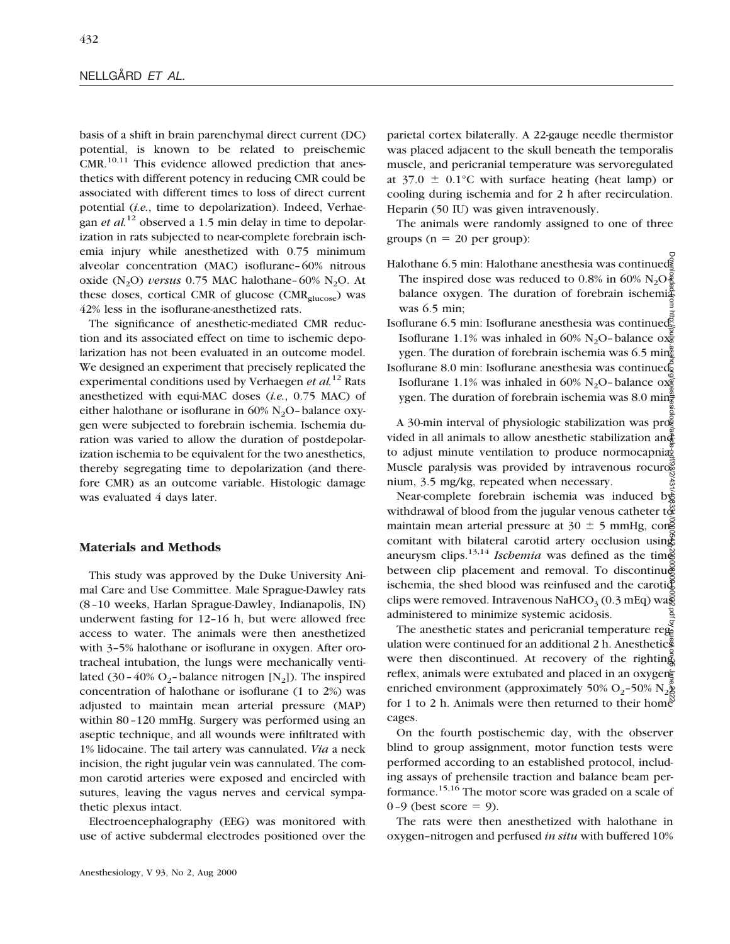basis of a shift in brain parenchymal direct current (DC) potential, is known to be related to preischemic  $CMR$ .<sup>10,11</sup> This evidence allowed prediction that anesthetics with different potency in reducing CMR could be associated with different times to loss of direct current potential (*i.e.*, time to depolarization). Indeed, Verhaegan *et al.*<sup>12</sup> observed a 1.5 min delay in time to depolarization in rats subjected to near-complete forebrain ischemia injury while anesthetized with 0.75 minimum alveolar concentration (MAC) isoflurane–60% nitrous oxide  $(N_2O)$  *versus* 0.75 MAC halothane–60% N<sub>2</sub>O. At these doses, cortical CMR of glucose ( $CMR_{\text{glucose}}$ ) was 42% less in the isoflurane-anesthetized rats.

The significance of anesthetic-mediated CMR reduction and its associated effect on time to ischemic depolarization has not been evaluated in an outcome model. We designed an experiment that precisely replicated the experimental conditions used by Verhaegen *et al.*<sup>12</sup> Rats anesthetized with equi-MAC doses (*i.e.*, 0.75 MAC) of either halothane or isoflurane in  $60\%$  N<sub>2</sub>O-balance oxygen were subjected to forebrain ischemia. Ischemia duration was varied to allow the duration of postdepolarization ischemia to be equivalent for the two anesthetics, thereby segregating time to depolarization (and therefore CMR) as an outcome variable. Histologic damage was evaluated 4 days later.

## **Materials and Methods**

This study was approved by the Duke University Animal Care and Use Committee. Male Sprague-Dawley rats (8–10 weeks, Harlan Sprague-Dawley, Indianapolis, IN) underwent fasting for 12–16 h, but were allowed free access to water. The animals were then anesthetized with 3–5% halothane or isoflurane in oxygen. After orotracheal intubation, the lungs were mechanically ventilated (30–40% O<sub>2</sub>–balance nitrogen  $[N_2]$ ). The inspired concentration of halothane or isoflurane (1 to 2%) was adjusted to maintain mean arterial pressure (MAP) within 80–120 mmHg. Surgery was performed using an aseptic technique, and all wounds were infiltrated with 1% lidocaine. The tail artery was cannulated. *Via* a neck incision, the right jugular vein was cannulated. The common carotid arteries were exposed and encircled with sutures, leaving the vagus nerves and cervical sympathetic plexus intact.

Electroencephalography (EEG) was monitored with use of active subdermal electrodes positioned over the

parietal cortex bilaterally. A 22-gauge needle thermistor was placed adjacent to the skull beneath the temporalis muscle, and pericranial temperature was servoregulated at  $37.0 \pm 0.1^{\circ}$ C with surface heating (heat lamp) or cooling during ischemia and for 2 h after recirculation. Heparin (50 IU) was given intravenously.

The animals were randomly assigned to one of three groups ( $n = 20$  per group):

- Halothane 6.5 min: Halothane anesthesia was continued. The inspired dose was reduced to 0.8% in 60%  $N_2O_{\mathbb{E}}^2$ balance oxygen. The duration of forebrain ischemi $\frac{2}{3}$ was 6.5 min;
- Isoflurane 6.5 min: Isoflurane anesthesia was continued. Isoflurane 1.1% was inhaled in 60% N<sub>2</sub>O–balance  $\alpha \frac{1}{8}$ ygen. The duration of forebrain ischemia was 6.5 min
- Isoflurane 8.0 min: Isoflurane anesthesia was continued. Isoflurane 1.1% was inhaled in 60% N<sub>2</sub>O–balance oxygen. The duration of forebrain ischemia was 8.0 min $\frac{3}{7}$

A 30-min interval of physiologic stabilization was prog vided in all animals to allow anesthetic stabilization and to adjust minute ventilation to produce normocapnia. Muscle paralysis was provided by intravenous rocurosed nium, 3.5 mg/kg, repeated when necessary.

Near-complete forebrain ischemia was induced by withdrawal of blood from the jugular venous catheter to  $\mathfrak{E}$ maintain mean arterial pressure at  $30 \pm 5$  mmHg, cong comitant with bilateral carotid artery occlusion using aneurysm clips.<sup>13,14</sup> *Ischemia* was defined as the time between clip placement and removal. To discontinu@ ischemia, the shed blood was reinfused and the caroti $\bar{\mathbb{Q}}$ clips were removed. Intravenous NaHCO<sub>3</sub> (0.3 mEq) was administered to minimize systemic acidosis. Downloaded from http://pubs.asahq.org/anesthesiology/article-pdf/93/2/431/408331/0000542-200008000-00022.pdf by guest on 25 June 2022

The anesthetic states and pericranial temperature regulation were continued for an additional  $2 \text{ h}$ . Anesthetics were then discontinued. At recovery of the righting reflex, animals were extubated and placed in an oxygen enriched environment (approximately 50%  $O_2$ –50% N<sub>2</sub>)<sup>o</sup> for 1 to 2 h. Animals were then returned to their home cages.

On the fourth postischemic day, with the observer blind to group assignment, motor function tests were performed according to an established protocol, including assays of prehensile traction and balance beam performance.15,16 The motor score was graded on a scale of 0-9 (best score  $= 9$ ).

The rats were then anesthetized with halothane in oxygen–nitrogen and perfused *in situ* with buffered 10%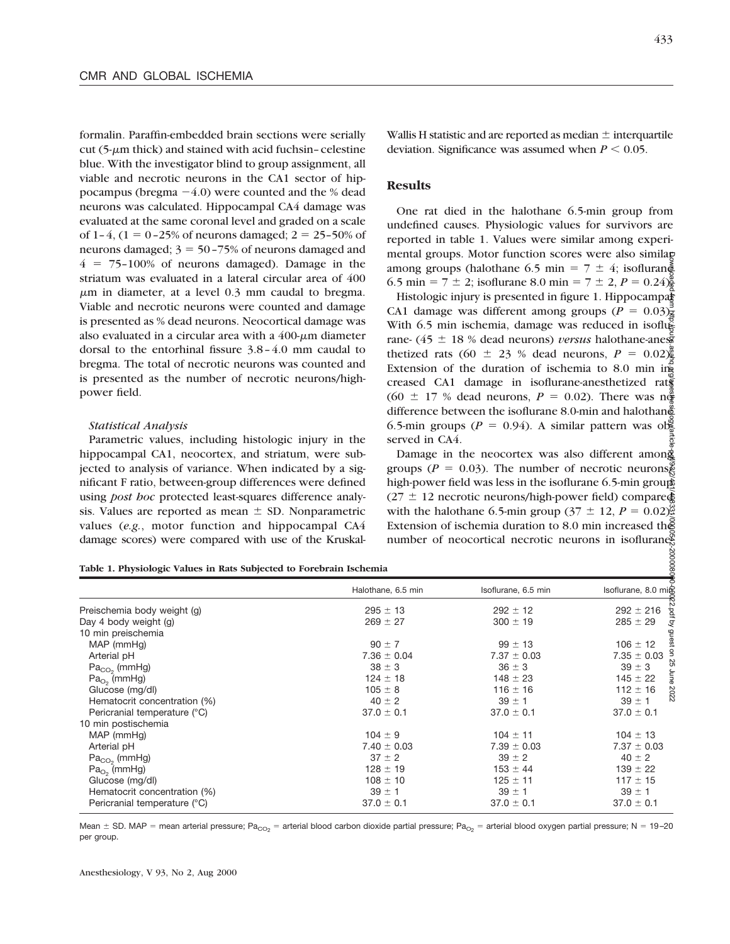formalin. Paraffin-embedded brain sections were serially  $cut$  (5- $\mu$ m thick) and stained with acid fuchsin–celestine blue. With the investigator blind to group assignment, all viable and necrotic neurons in the CA1 sector of hippocampus (bregma  $-4.0$ ) were counted and the % dead neurons was calculated. Hippocampal CA4 damage was evaluated at the same coronal level and graded on a scale of 1-4,  $(1 = 0 - 25\%$  of neurons damaged;  $2 = 25 - 50\%$  of neurons damaged;  $3 = 50 - 75%$  of neurons damaged and  $4 = 75-100\%$  of neurons damaged). Damage in the striatum was evaluated in a lateral circular area of 400  $\mu$ m in diameter, at a level 0.3 mm caudal to bregma. Viable and necrotic neurons were counted and damage is presented as % dead neurons. Neocortical damage was also evaluated in a circular area with a  $400 \text{-} \mu \text{m}$  diameter dorsal to the entorhinal fissure 3.8–4.0 mm caudal to bregma. The total of necrotic neurons was counted and is presented as the number of necrotic neurons/highpower field.

#### *Statistical Analysis*

Parametric values, including histologic injury in the hippocampal CA1, neocortex, and striatum, were subjected to analysis of variance. When indicated by a significant F ratio, between-group differences were defined using *post hoc* protected least-squares difference analysis. Values are reported as mean  $\pm$  SD. Nonparametric values (*e.g.*, motor function and hippocampal CA4 damage scores) were compared with use of the Kruskal-

200008

Wallis H statistic and are reported as median  $\pm$  interquartile deviation. Significance was assumed when  $P \leq 0.05$ .

#### **Results**

One rat died in the halothane 6.5-min group from undefined causes. Physiologic values for survivors are reported in table 1. Values were similar among experimental groups. Motor function scores were also similar among groups (halothane 6.5 min =  $7 \pm 4$ ; isoflurane 6.5 min =  $7 \pm 2$ ; isoflurane 8.0 min =  $7 \pm 2$ ,  $P = 0.24\frac{8}{9}$ .

Histologic injury is presented in figure 1. Hippocampal CA1 damage was different among groups ( $P = 0.03$ ) $\frac{1}{4}$ With 6.5 min ischemia, damage was reduced in isoflusrane- (45  $\pm$  18 % dead neurons) *versus* halothane-anes thetized rats (60  $\pm$  23 % dead neurons,  $P = 0.02\frac{\pi}{2}$ Extension of the duration of ischemia to  $8.0$  min in creased CA1 damage in isoflurane-anesthetized rats (60  $\pm$  17 % dead neurons,  $P = 0.02$ ). There was not difference between the isoflurane 8.0-min and halothanged 6.5-min groups ( $P = 0.94$ ). A similar pattern was observed in CA4. Downloaded from http://pubs.asahq.org/anesthesiology/article-pdf/93/2/431/408331/0000542-200008000-00022.pdf by guest on 25 June 2022

Damage in the neocortex was also different among groups ( $P = 0.03$ ). The number of necrotic neurons $\frac{8}{3}$ high-power field was less in the isoflurane 6.5-min groups  $(27 \pm 12 \text{ necrotic neurons/high-power field})$  compared with the halothane 6.5-min group ( $37 \pm 12$ ,  $P = 0.02$ ). Extension of ischemia duration to 8.0 min increased the number of neocortical necrotic neurons in isoflurane $\frac{a}{b}$ 

**Table 1. Physiologic Values in Rats Subjected to Forebrain Ischemia**

| Halothane, 6.5 min | Isoflurane, 6.5 min | Isoflurane, 8.0 mic |
|--------------------|---------------------|---------------------|
| $295 \pm 13$       | $292 \pm 12$        | $292 \pm 216$       |
| $269 \pm 27$       | $300 \pm 19$        | $285 \pm 29$        |
|                    |                     |                     |
| $90 \pm 7$         | $99 \pm 13$         | $106 \pm 12$        |
| $7.36 \pm 0.04$    | $7.37 \pm 0.03$     | $7.35 \pm 0.03$     |
| $38 \pm 3$         | $36 \pm 3$          | $39 \pm 3$          |
| $124 \pm 18$       | $148 \pm 23$        | $145 \pm 22$        |
| $105 \pm 8$        | $116 \pm 16$        | $112 \pm 16$<br>2C  |
| $40 \pm 2$         | $39 \pm 1$          | 77.<br>$39 \pm 1$   |
| $37.0 \pm 0.1$     | $37.0 \pm 0.1$      | $37.0 \pm 0.1$      |
|                    |                     |                     |
| $104 \pm 9$        | $104 \pm 11$        | $104 \pm 13$        |
| $7.40 \pm 0.03$    | $7.39 \pm 0.03$     | $7.37 \pm 0.03$     |
| $37 \pm 2$         | $39 \pm 2$          | $40 \pm 2$          |
| $128 \pm 19$       | $153 \pm 44$        | $139 \pm 22$        |
| $108 \pm 10$       | $125 \pm 11$        | $117 \pm 15$        |
| $39 \pm 1$         | $39 \pm 1$          | $39 \pm 1$          |
| $37.0 \pm 0.1$     | $37.0 \pm 0.1$      | $37.0 \pm 0.1$      |
|                    |                     |                     |

Mean  $\pm$  SD. MAP = mean arterial pressure; Pa<sub>CO2</sub> = arterial blood carbon dioxide partial pressure; Pa<sub>O2</sub> = arterial blood oxygen partial pressure; N = 19-20 per group.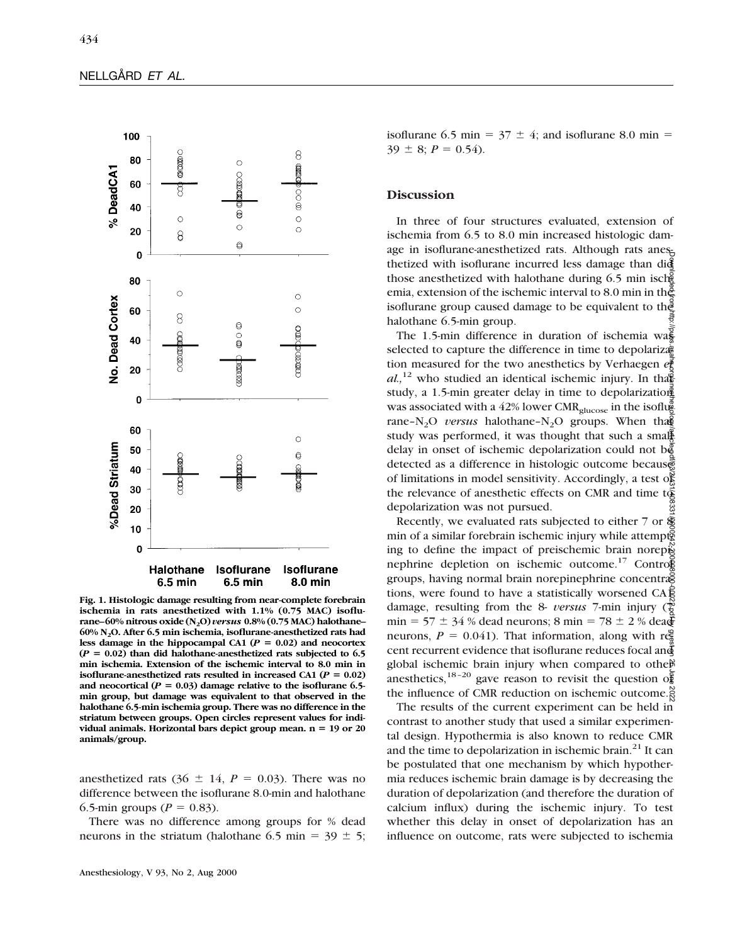

**Fig. 1. Histologic damage resulting from near-complete forebrain ischemia in rats anesthetized with 1.1% (0.75 MAC) isoflurane–60% nitrous oxide (N2O)** *versus* **0.8% (0.75 MAC) halothane– 60% N2O. After 6.5 min ischemia, isoflurane-anesthetized rats had** less damage in the hippocampal CA1 ( $P = 0.02$ ) and neocortex  $(P = 0.02)$  than did halothane-anesthetized rats subjected to 6.5 **min ischemia. Extension of the ischemic interval to 8.0 min in isoflurane-anesthetized rats resulted in increased CA1 (** $P = 0.02$ **)** and neocortical  $(P = 0.03)$  damage relative to the isoflurane 6.5**min group, but damage was equivalent to that observed in the halothane 6.5-min ischemia group. There was no difference in the striatum between groups. Open circles represent values for indi**vidual animals. Horizontal bars depict group mean. n = 19 or 20 **animals/group.**

anesthetized rats  $(36 \pm 14, P = 0.03)$ . There was no difference between the isoflurane 8.0-min and halothane 6.5-min groups ( $P = 0.83$ ).

There was no difference among groups for % dead neurons in the striatum (halothane 6.5 min =  $39 \pm 5$ ; isoflurane 6.5 min =  $37 \pm 4$ ; and isoflurane 8.0 min =  $39 \pm 8$ ;  $P = 0.54$ ).

#### **Discussion**

In three of four structures evaluated, extension of ischemia from 6.5 to 8.0 min increased histologic damage in isoflurane-anesthetized rats. Although rats anesthetized with isoflurane incurred less damage than did those anesthetized with halothane during 6.5 min isch emia, extension of the ischemic interval to 8.0 min in the isoflurane group caused damage to be equivalent to the halothane 6.5-min group.

The 1.5-min difference in duration of ischemia was selected to capture the difference in time to depolariza<sup> $\ddot{a}$ </sup> tion measured for the two anesthetics by Verhaegen *et*  $al$ , <sup>12</sup> who studied an identical ischemic injury. In that study, a 1.5-min greater delay in time to depolarization was associated with a 42% lower CMR<sub>glucose</sub> in the isoflug rane–N<sub>2</sub>O *versus* halothane–N<sub>2</sub>O groups. When that study was performed, it was thought that such a small delay in onset of ischemic depolarization could not  $b\ddot{\xi}$ detected as a difference in histologic outcome because of limitations in model sensitivity. Accordingly, a test of the relevance of anesthetic effects on CMR and time  $t\ddot{\hat{\Phi}}$ depolarization was not pursued.

Recently, we evaluated rats subjected to either  $7$  or  $\&$ min of a similar forebrain ischemic injury while attempts ing to define the impact of preischemic brain norepis nephrine depletion on ischemic outcome.<sup>17</sup> Control groups, having normal brain norepinephrine concentra tions, were found to have a statistically worsened  $CAE$ damage, resulting from the 8- *versus* 7-min injury (7 min = 57  $\pm$  34 % dead neurons; 8 min = 78  $\pm$  2 % dea $\overline{\mathbf{\mathcal{F}}}$ neurons,  $P = 0.041$ ). That information, along with recent recurrent evidence that isoflurane reduces focal and global ischemic brain injury when compared to other anesthetics,<sup>18-20</sup> gave reason to revisit the question of the influence of CMR reduction on ischemic outcome. Downloaded from http://pubs.asahq.org/anesthesiology/article-pdf/93/2/431/408331/0000542-200008000-00022.pdf by guest on 25 June 2022

The results of the current experiment can be held in contrast to another study that used a similar experimental design. Hypothermia is also known to reduce CMR and the time to depolarization in ischemic brain.<sup>21</sup> It can be postulated that one mechanism by which hypothermia reduces ischemic brain damage is by decreasing the duration of depolarization (and therefore the duration of calcium influx) during the ischemic injury. To test whether this delay in onset of depolarization has an influence on outcome, rats were subjected to ischemia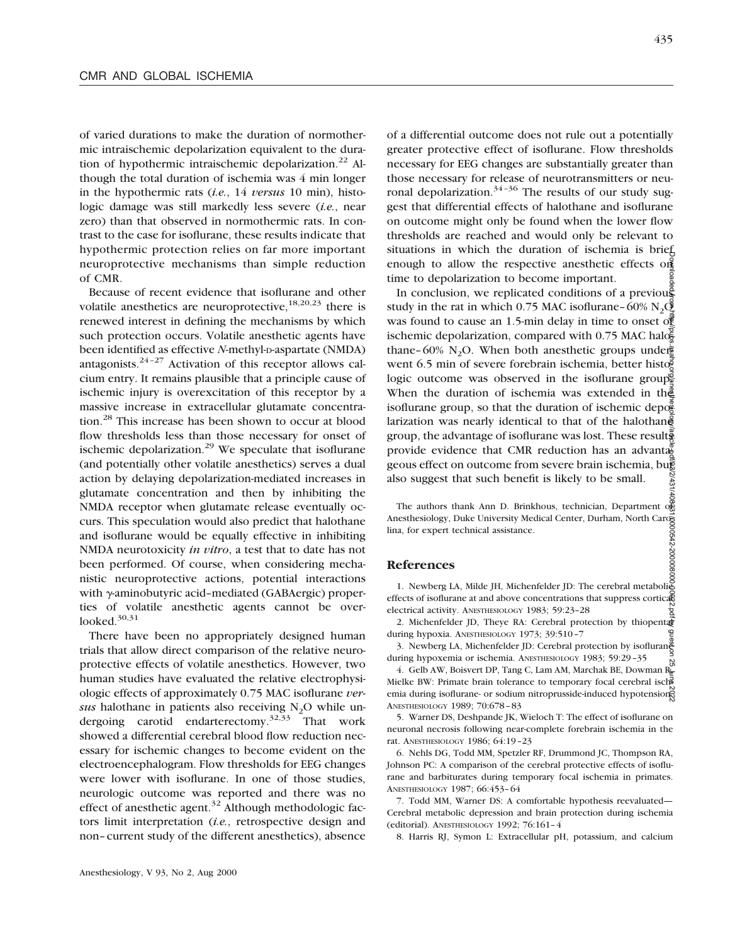of varied durations to make the duration of normothermic intraischemic depolarization equivalent to the duration of hypothermic intraischemic depolarization.<sup>22</sup> Although the total duration of ischemia was 4 min longer in the hypothermic rats (*i.e.*, 14 *versus* 10 min), histologic damage was still markedly less severe (*i.e.*, near zero) than that observed in normothermic rats. In contrast to the case for isoflurane, these results indicate that hypothermic protection relies on far more important neuroprotective mechanisms than simple reduction of CMR.

Because of recent evidence that isoflurane and other volatile anesthetics are neuroprotective,<sup>18,20,23</sup> there is renewed interest in defining the mechanisms by which such protection occurs. Volatile anesthetic agents have been identified as effective *N*-methyl-D-aspartate (NMDA) antagonists. $24-27$  Activation of this receptor allows calcium entry. It remains plausible that a principle cause of ischemic injury is overexcitation of this receptor by a massive increase in extracellular glutamate concentration.<sup>28</sup> This increase has been shown to occur at blood flow thresholds less than those necessary for onset of ischemic depolarization.<sup>29</sup> We speculate that isoflurane (and potentially other volatile anesthetics) serves a dual action by delaying depolarization-mediated increases in glutamate concentration and then by inhibiting the NMDA receptor when glutamate release eventually occurs. This speculation would also predict that halothane and isoflurane would be equally effective in inhibiting NMDA neurotoxicity *in vitro*, a test that to date has not been performed. Of course, when considering mechanistic neuroprotective actions, potential interactions with  $\gamma$ -aminobutyric acid–mediated (GABAergic) properties of volatile anesthetic agents cannot be overlooked. $30,31$ 

There have been no appropriately designed human trials that allow direct comparison of the relative neuroprotective effects of volatile anesthetics. However, two human studies have evaluated the relative electrophysiologic effects of approximately 0.75 MAC isoflurane *versus* halothane in patients also receiving N<sub>2</sub>O while undergoing carotid endarterectomy.32,33 That work showed a differential cerebral blood flow reduction necessary for ischemic changes to become evident on the electroencephalogram. Flow thresholds for EEG changes were lower with isoflurane. In one of those studies, neurologic outcome was reported and there was no effect of anesthetic agent. $32$  Although methodologic factors limit interpretation (*i.e.*, retrospective design and non–current study of the different anesthetics), absence

of a differential outcome does not rule out a potentially greater protective effect of isoflurane. Flow thresholds necessary for EEG changes are substantially greater than those necessary for release of neurotransmitters or neuronal depolarization.<sup>34-36</sup> The results of our study suggest that differential effects of halothane and isoflurane on outcome might only be found when the lower flow thresholds are reached and would only be relevant to situations in which the duration of ischemia is brief enough to allow the respective anesthetic effects on time to depolarization to become important.

Downloaded from http://pubs.asahq.org/asahqesinesiology/article/2022-2000000022-20000000022.pdf/931/4432.pdf/93 In conclusion, we replicated conditions of a previous study in the rat in which 0.75 MAC isoflurane–60% N<sub>2</sub>O2 was found to cause an 1.5-min delay in time to onset of ischemic depolarization, compared with 0.75 MAC halo $\frac{2}{5}$ thane–60% N<sub>2</sub>O. When both anesthetic groups underwent 6.5 min of severe forebrain ischemia, better histo $\bar{g}$ logic outcome was observed in the isoflurane group. When the duration of ischemia was extended in the isoflurane group, so that the duration of ischemic depog larization was nearly identical to that of the halothane group, the advantage of isoflurane was lost. These results provide evidence that CMR reduction has an advantaged geous effect on outcome from severe brain ischemia, but also suggest that such benefit is likely to be small. 2/431

The authors thank Ann D. Brinkhous, technician, Department of Anesthesiology, Duke University Medical Center, Durham, North Carolina, for expert technical assistance.

### **References**

1. Newberg LA, Milde JH, Michenfelder JD: The cerebral metabolic effects of isoflurane at and above concentrations that suppress cortical electrical activity. ANESTHESIOLOGY 1983; 59:23–28

2. Michenfelder JD, Theye RA: Cerebral protection by thiopental during hypoxia. ANESTHESIOLOGY 1973; 39:510–7

3. Newberg LA, Michenfelder JD: Cerebral protection by isoflurang during hypoxemia or ischemia. ANESTHESIOLOGY 1983; 59:29–35

4. Gelb AW, Boisvert DP, Tang C, Lam AM, Marchak BE, Dowman R Mielke BW: Primate brain tolerance to temporary focal cerebral ischemia during isoflurane- or sodium nitroprusside-induced hypotension. ANESTHESIOLOGY 1989; 70:678–83

5. Warner DS, Deshpande JK, Wieloch T: The effect of isoflurane on neuronal necrosis following near-complete forebrain ischemia in the rat. ANESTHESIOLOGY 1986; 64:19–23

6. Nehls DG, Todd MM, Spetzler RF, Drummond JC, Thompson RA, Johnson PC: A comparison of the cerebral protective effects of isoflurane and barbiturates during temporary focal ischemia in primates. ANESTHESIOLOGY 1987; 66:453–64

7. Todd MM, Warner DS: A comfortable hypothesis reevaluated— Cerebral metabolic depression and brain protection during ischemia (editorial). ANESTHESIOLOGY 1992; 76:161–4

8. Harris RJ, Symon L: Extracellular pH, potassium, and calcium